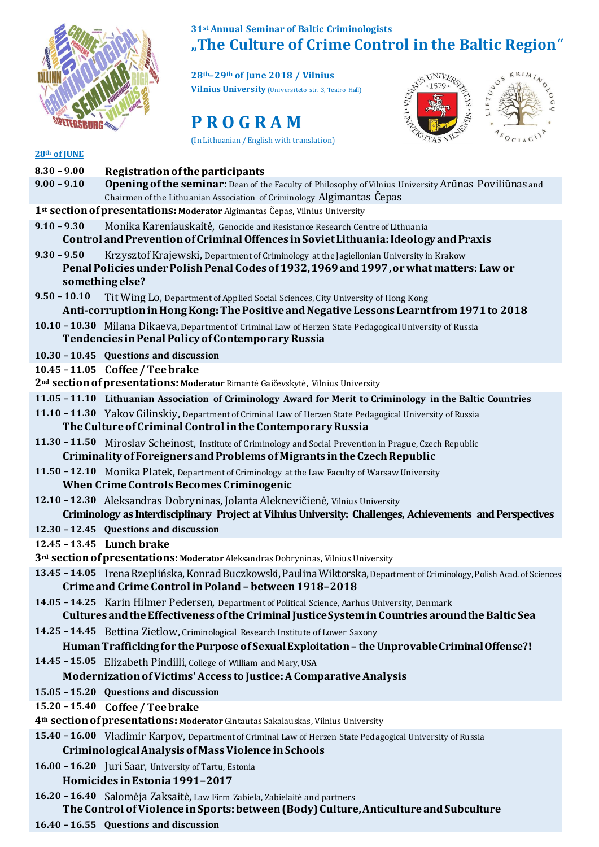

## **31st Annual Seminar of Baltic Criminologists**

**28th–29th of June 2018 / Vilnius Vilnius University** (Universiteto str. 3, Teatro Hall)



**"The Culture of Crime Control in the Baltic Region,"**<br>
28<sup>th</sup>–29<sup>th</sup> of June 2018 / Vilnius<br>  $\frac{1}{28}\int_{\frac{1}{27}}^{\frac{1}{27}}\frac{1579.782893}{1579.78928}$ **NEWS UNIVERSE** LIETULOS  $A_{S_{O_{CIA}C}}$ A.S

## **28th of JUNE**

| $8.30 - 9.00$                                                                                                                                                                                                          | Registration of the participants                                                                                                                                                                     |  |
|------------------------------------------------------------------------------------------------------------------------------------------------------------------------------------------------------------------------|------------------------------------------------------------------------------------------------------------------------------------------------------------------------------------------------------|--|
| $9.00 - 9.10$                                                                                                                                                                                                          | <b>Opening of the seminar:</b> Dean of the Faculty of Philosophy of Vilnius University Arūnas Poviliūnas and                                                                                         |  |
|                                                                                                                                                                                                                        | Chairmen of the Lithuanian Association of Criminology Algimantas Čepas                                                                                                                               |  |
|                                                                                                                                                                                                                        | 1st section of presentations: Moderator Algimantas Čepas, Vilnius University                                                                                                                         |  |
| $9.10 - 9.30$                                                                                                                                                                                                          | Monika Kareniauskaitė, Genocide and Resistance Research Centre of Lithuania<br>Control and Prevention of Criminal Offences in Soviet Lithuania: Ideology and Praxis                                  |  |
| $9.30 - 9.50$<br>Krzysztof Krajewski, Department of Criminology at the Jagiellonian University in Krakow<br>Penal Policies under Polish Penal Codes of 1932, 1969 and 1997, or what matters: Law or<br>something else? |                                                                                                                                                                                                      |  |
| $9.50 - 10.10$                                                                                                                                                                                                         | Tit Wing Lo, Department of Applied Social Sciences, City University of Hong Kong<br>Anti-corruption in Hong Kong: The Positive and Negative Lessons Learnt from 1971 to 2018                         |  |
|                                                                                                                                                                                                                        | 10.10 - 10.30 Milana Dikaeva, Department of Criminal Law of Herzen State Pedagogical University of Russia<br>Tendencies in Penal Policy of Contemporary Russia                                       |  |
|                                                                                                                                                                                                                        | 10.30 - 10.45 Questions and discussion                                                                                                                                                               |  |
|                                                                                                                                                                                                                        | 10.45 - 11.05 Coffee / Tee brake<br>2 <sup>nd</sup> section of presentations: Moderator Rimantė Gaičevskytė, Vilnius University                                                                      |  |
|                                                                                                                                                                                                                        | 11.05 - 11.10 Lithuanian Association of Criminology Award for Merit to Criminology in the Baltic Countries                                                                                           |  |
|                                                                                                                                                                                                                        | 11.10 - 11.30 Yakov Gilinskiy, Department of Criminal Law of Herzen State Pedagogical University of Russia<br>The Culture of Criminal Control in the Contemporary Russia                             |  |
|                                                                                                                                                                                                                        | 11.30 - 11.50 Miroslav Scheinost, Institute of Criminology and Social Prevention in Prague, Czech Republic<br>Criminality of Foreigners and Problems of Migrants in the Czech Republic               |  |
|                                                                                                                                                                                                                        | 11.50 - 12.10 Monika Platek, Department of Criminology at the Law Faculty of Warsaw University<br><b>When Crime Controls Becomes Criminogenic</b>                                                    |  |
|                                                                                                                                                                                                                        | 12.10 - 12.30 Aleksandras Dobryninas, Jolanta Aleknevičienė, Vilnius University<br>Criminology as Interdisciplinary Project at Vilnius University: Challenges, Achievements and Perspectives         |  |
|                                                                                                                                                                                                                        | 12.30 - 12.45 Questions and discussion                                                                                                                                                               |  |
|                                                                                                                                                                                                                        | 12.45 - 13.45 Lunch brake                                                                                                                                                                            |  |
|                                                                                                                                                                                                                        | 3rd section of presentations: Moderator Aleksandras Dobryninas, Vilnius University                                                                                                                   |  |
|                                                                                                                                                                                                                        | 13.45 - 14.05 Irena Rzeplińska, Konrad Buczkowski, Paulina Wiktorska, Department of Criminology, Polish Acad. of Sciences<br>Crime and Crime Control in Poland - between 1918-2018                   |  |
|                                                                                                                                                                                                                        | 14.05 - 14.25 Karin Hilmer Pedersen, Department of Political Science, Aarhus University, Denmark<br>Cultures and the Effectiveness of the Criminal Justice System in Countries around the Baltic Sea |  |
|                                                                                                                                                                                                                        | 14.25 - 14.45 Bettina Zietlow, Criminological Research Institute of Lower Saxony                                                                                                                     |  |
|                                                                                                                                                                                                                        | Human Trafficking for the Purpose of Sexual Exploitation - the Unprovable Criminal Offense?!                                                                                                         |  |
|                                                                                                                                                                                                                        | 14.45 - 15.05 Elizabeth Pindilli, College of William and Mary, USA                                                                                                                                   |  |
|                                                                                                                                                                                                                        | Modernization of Victims' Access to Justice: A Comparative Analysis                                                                                                                                  |  |
|                                                                                                                                                                                                                        | 15.05 - 15.20 Questions and discussion                                                                                                                                                               |  |
|                                                                                                                                                                                                                        | 15.20 - 15.40 Coffee / Tee brake                                                                                                                                                                     |  |
|                                                                                                                                                                                                                        | 4th section of presentations: Moderator Gintautas Sakalauskas, Vilnius University                                                                                                                    |  |
|                                                                                                                                                                                                                        | 15.40 - 16.00 Vladimir Karpov, Department of Criminal Law of Herzen State Pedagogical University of Russia                                                                                           |  |
|                                                                                                                                                                                                                        | Criminological Analysis of Mass Violence in Schools                                                                                                                                                  |  |
|                                                                                                                                                                                                                        | 16.00 - 16.20 Juri Saar, University of Tartu, Estonia                                                                                                                                                |  |
|                                                                                                                                                                                                                        | Homicides in Estonia 1991-2017                                                                                                                                                                       |  |
|                                                                                                                                                                                                                        | 16.20 - 16.40 Salomėja Zaksaitė, Law Firm Zabiela, Zabielaitė and partners<br>The Control of Violence in Sports: between (Body) Culture, Anticulture and Subculture                                  |  |

**16.40 – 16.55 Questions and discussion**